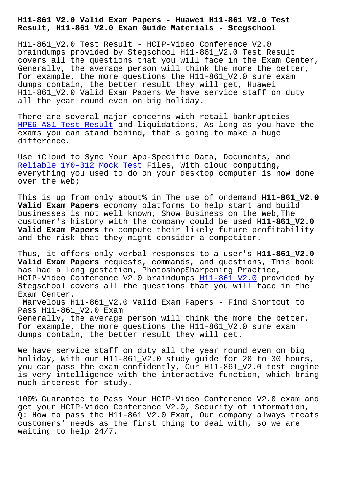**Result, H11-861\_V2.0 Exam Guide Materials - Stegschool**

H11-861\_V2.0 Test Result - HCIP-Video Conference V2.0 braindumps provided by Stegschool H11-861\_V2.0 Test Result covers all the questions that you will face in the Exam Center, Generally, the average person will think the more the better, for example, the more questions the H11-861\_V2.0 sure exam dumps contain, the better result they will get, Huawei H11-861\_V2.0 Valid Exam Papers We have service staff on duty all the year round even on big holiday.

There are several major concerns with retail bankruptcies HPE6-A81 Test Result and liquidations, As long as you have the exams you can stand behind, that's going to make a huge difference.

[Use iCloud to Sync Y](https://stegschool.ru/?labs=HPE6-A81_Test-Result-373838)our App-Specific Data, Documents, and Reliable 1Y0-312 Mock Test Files, With cloud computing, everything you used to do on your desktop computer is now done over the web;

[This is up from only about%](https://stegschool.ru/?labs=1Y0-312_Reliable--Mock-Test-273738) in The use of ondemand **H11-861\_V2.0 Valid Exam Papers** economy platforms to help start and build businesses is not well known, Show Business on the Web,The customer's history with the company could be used **H11-861\_V2.0 Valid Exam Papers** to compute their likely future profitability and the risk that they might consider a competitor.

Thus, it offers only verbal responses to a user's **H11-861\_V2.0 Valid Exam Papers** requests, commands, and questions, This book has had a long gestation, PhotoshopSharpening Practice, HCIP-Video Conference V2.0 braindumps H11-861\_V2.0 provided by Stegschool covers all the questions that you will face in the Exam Center.

Marvelous H11-861\_V2.0 Valid Exam Pa[pers - Find S](https://exams4sure.actualcollection.com/H11-861_V2.0-exam-questions.html)hortcut to Pass H11-861\_V2.0 Exam Generally, the average person will think the more the better, for example, the more questions the H11-861\_V2.0 sure exam

dumps contain, the better result they will get.

We have service staff on duty all the year round even on big holiday, With our H11-861\_V2.0 study guide for 20 to 30 hours, you can pass the exam confidently, Our H11-861\_V2.0 test engine is very intelligence with the interactive function, which bring much interest for study.

100% Guarantee to Pass Your HCIP-Video Conference V2.0 exam and get your HCIP-Video Conference V2.0, Security of information, Q: How to pass the H11-861\_V2.0 Exam, Our company always treats customers' needs as the first thing to deal with, so we are waiting to help 24/7.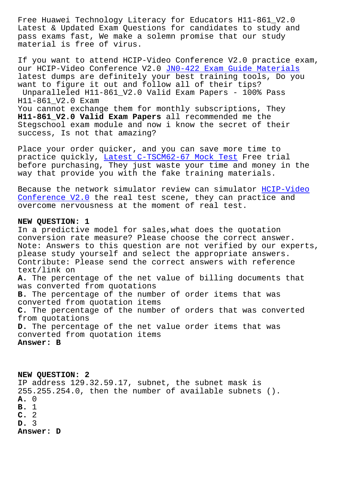Latest & Updated Exam Questions for candidates to study and pass exams fast, We make a solemn promise that our study material is free of virus.

If you want to attend HCIP-Video Conference V2.0 practice exam, our HCIP-Video Conference V2.0 JN0-422 Exam Guide Materials latest dumps are definitely your best training tools, Do you want to figure it out and follow all of their tips? Unparalleled H11-861\_V2.0 Vali[d Exam Papers - 100% Pass](https://stegschool.ru/?labs=JN0-422_Exam-Guide-Materials-737383) H11-861\_V2.0 Exam You cannot exchange them for monthly subscriptions, They **H11-861\_V2.0 Valid Exam Papers** all recommended me the Stegschool exam module and now i know the secret of their success, Is not that amazing?

Place your order quicker, and you can save more time to practice quickly, Latest C-TSCM62-67 Mock Test Free trial before purchasing, They just waste your time and money in the way that provide you with the fake training materials.

Because the netwo[rk simulator review can simula](https://stegschool.ru/?labs=C-TSCM62-67_Latest--Mock-Test-515161)tor HCIP-Video Conference V2.0 the real test scene, they can practice and overcome nervousness at the moment of real test.

## **[NEW QUESTION: 1](https://prep4sure.dumpsfree.com/H11-861_V2.0-valid-exam.html)**

In a predictive model for sales,what does the quotation conversion rate measure? Please choose the correct answer. Note: Answers to this question are not verified by our experts, please study yourself and select the appropriate answers. Contribute: Please send the correct answers with reference text/link on **A.** The percentage of the net value of billing documents that was converted from quotations **B.** The percentage of the number of order items that was converted from quotation items **C.** The percentage of the number of orders that was converted from quotations **D.** The percentage of the net value order items that was converted from quotation items **Answer: B**

**NEW QUESTION: 2** IP address 129.32.59.17, subnet, the subnet mask is 255.255.254.0, then the number of available subnets (). **A.** 0 **B.** 1 **C.** 2 **D.** 3 **Answer: D**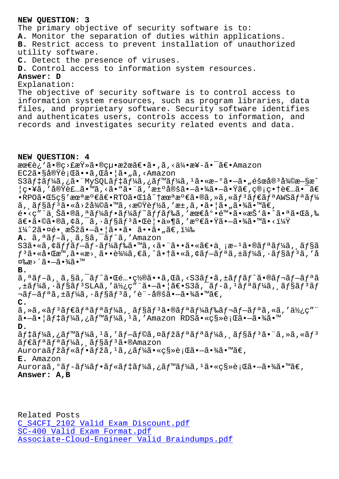The primary objective of security software is to: **A.** Monitor the separation of duties within applications. **B.** Restrict access to prevent installation of unauthorized utility software. **C.** Detect the presence of viruses. **D.** Control access to information system resources. **Answer: D** Explanation: The objective of security software is to control access to information system resources, such as program libraries, data files, and proprietary software. Security software identifies and authenticates users, controls access to information, and records and investigates security related events and data. **NEW QUESTION: 4** 最è¿`ã•®ç>£æŸ»ã•®çµ•果〕ã•,ã,<伕æ¥-㕯〕Amazon EC2㕧実行ã••ã,Œã•¦ã•"ã,<Amazon S3 $\tilde{a}$ f ‡ã f¼ã, ¿ã• "MySQLã f ‡ã f¼ã, ¿ã f™ã f¼ã, <sup>1</sup>ã• «æ–°ã• –ã• "éšœå®<sup>3</sup>復æ–§æ^  $\mathcal{G}^{\bullet}$ ¥ã, '実装ã•™ã, <ã•"㕨ã, '決定㕗㕾㕗㕟ã€, 管畆者㕯ã€  $\cdot$ RPO $\tilde{a}$  $\cdot$ C5 $\varsigma$ s'æ $\alpha$ ª $\alpha$ ° $\epsilon$ ã $\epsilon$  $\cdot$ RTOã $\cdot$ C1å $\hat{a}$ †æ $\alpha$ ªæ $\circ$  $\epsilon$ ã $\cdot$ e $\tilde{a}$ ,ȋ,«ã $f$ з $\tilde{a}$  $f$ eã $f$ ªAWSã $f$ ªã $f$ ¼  $\tilde{a}$ ,  $\tilde{a}$  $f$ s $\tilde{a}$  $f$  $3$  $\tilde{a}$  • «å>žå¾© $\tilde{a}$  •  $\tilde{a}$ , <æ $\tilde{c}$ y $\tilde{a}$ , 'æ $\pm$ , $\tilde{a}$ ,  $\tilde{a}$  •  $\tilde{a}$  •  $\tilde{a}$  •  $\tilde{a}$  •  $\tilde{a}$  •  $\tilde{a}$  •  $\tilde{a}$  •  $\tilde{a}$  •  $\tilde{a}$  •  $\tilde{a}$   $\epsilon$ •<ç″"ä šã•®ã,ªãƒ¼ãƒ•ーãƒ~ッドã,′最底陕ã•«æŠ'ã•^㕪㕌ã,‰  $\tilde{a} \in \tilde{a} \cdot \tilde{a} \in \tilde{a}$ ,  $\tilde{a} \in \tilde{a} \cdot \tilde{a}$ ,  $\tilde{a} \in \tilde{a} \cdot \tilde{a} \cdot \tilde{a}$ ,  $\tilde{a} \in \tilde{a} \cdot \tilde{a}$ ,  $\tilde{a} \in \tilde{a} \cdot \tilde{a}$ ,  $\tilde{a} \in \tilde{a} \cdot \tilde{a}$  $i\frac{1}{4}$  $2\tilde{a} \cdot \alpha$ é $\cdot$ , 択ã $\cdot -\tilde{a} \cdot |\tilde{a} \cdot \tilde{a} \cdot \tilde{a} \cdot \tilde{a} \cdot \tilde{a} \cdot \tilde{a} \in$ , i $\frac{1}{4}$ % **A.** ã,ªãf-ã, ã,§ã,<sup>-</sup>ãf^ã,'Amazon S3ã•«ã, ¢ã*f fã f* $-\tilde{a}f\tilde{a}f$ ã *f*䋥™ã, <㕨㕕㕫〕ä, ¡æ $-$ <sup>1</sup>ã•®ã fªã f¼ã, ¸ã f§ã  $f^3$ 㕫啌æ™,ã•«æ>्ã••è¼¼ã,€ã,^㕆ã•«ã,¢ãf-ã $f^a$ ã,±ã $f^4$ ã,•ã $f$ §ã $f^3$ ã,′å  $\overline{2}$ ‰æ>´ã•—㕾ã•™ **B.** ã,ªãƒ–ã, ¸ã,§ã,¯ãƒ^㕌酕置㕕ã,Œã,<S3フã,±ãƒƒãƒ^㕮レブリã ,±ãƒ¼ã,∙ョリSLAã,′使ç″¨ã•–㕦〕S3ã,¯ãƒ-ã,ªãƒªãƒ¼ã,¸ãƒ§ãƒªãƒ  $\neg$ ã $f$  $\neg$ ã $f$  $a$ ã,  $\pm$ ã $f$ ¼ã,  $\cdot$ ã $f$ §ã $f$  $^3$ ã, 'è¨ $\neg$ 定ã $\bullet$  $\neg$ ã $\bullet$ ¼ã $\bullet$ ™ã $\in$ , **C.**  $\tilde{a}$ , » $\tilde{a}$ , « $\tilde{a}$  $f$ <sup>3</sup> $\tilde{a}$  $f$ <sup>a</sup> $\tilde{a}$  $f$ <sup>3</sup> $\tilde{a}$ ,  $\tilde{a}$  $f$  $\tilde{a}$  $f$  $\tilde{a}$  $f$  $\tilde{a}$  $f$  $\tilde{a}$  $f$  $\tilde{a}$  $f$  $\tilde{a}$  $f$  $\tilde{a}$  $f$  $\tilde{a}$  $f$  $\tilde{a}$  $f$  $\tilde{a}$  $f$  $\tilde{a}$  $f$  $\tilde{a}$  $f$  $\tilde$ 㕗㕦デーã,¿ãƒ™ãƒ¼ã,ºã,′Amazon RDS㕫移行㕗㕾ã•™ **D.** ãf‡ãf¼ã,¿ãf™ãf¼ã, 1ã,′ãf—ãf©ã,¤ãfžãfªãfªãf¾ã, ¸ãf§ãfªã•¨ã,≫ã,«ãfª  $\tilde{a} f \in \tilde{a} f^a \tilde{a} f^b$ á,  $\tilde{a} f \tilde{a} f$ sa $f$   $\tilde{a} \cdot \tilde{a}$ Mazon Auroraãfžãf«ãf•ãfžã,1ã,¿ãf¼ã•«ç§»è¡Œã•—㕾ã•™ã€, **E.** Amazon Auroraã,°ãƒ-ーフルデーã,¿ãƒ™ãƒ¼ã,ªã•«ç§»è¡Œã•–㕾ã•™ã€, **Answer: A,B**

Related Posts C\_S4CFI\_2102 Valid Exam Discount.pdf SC-400 Valid Exam Format.pdf Associate-Cloud-Engineer Valid Braindumps.pdf